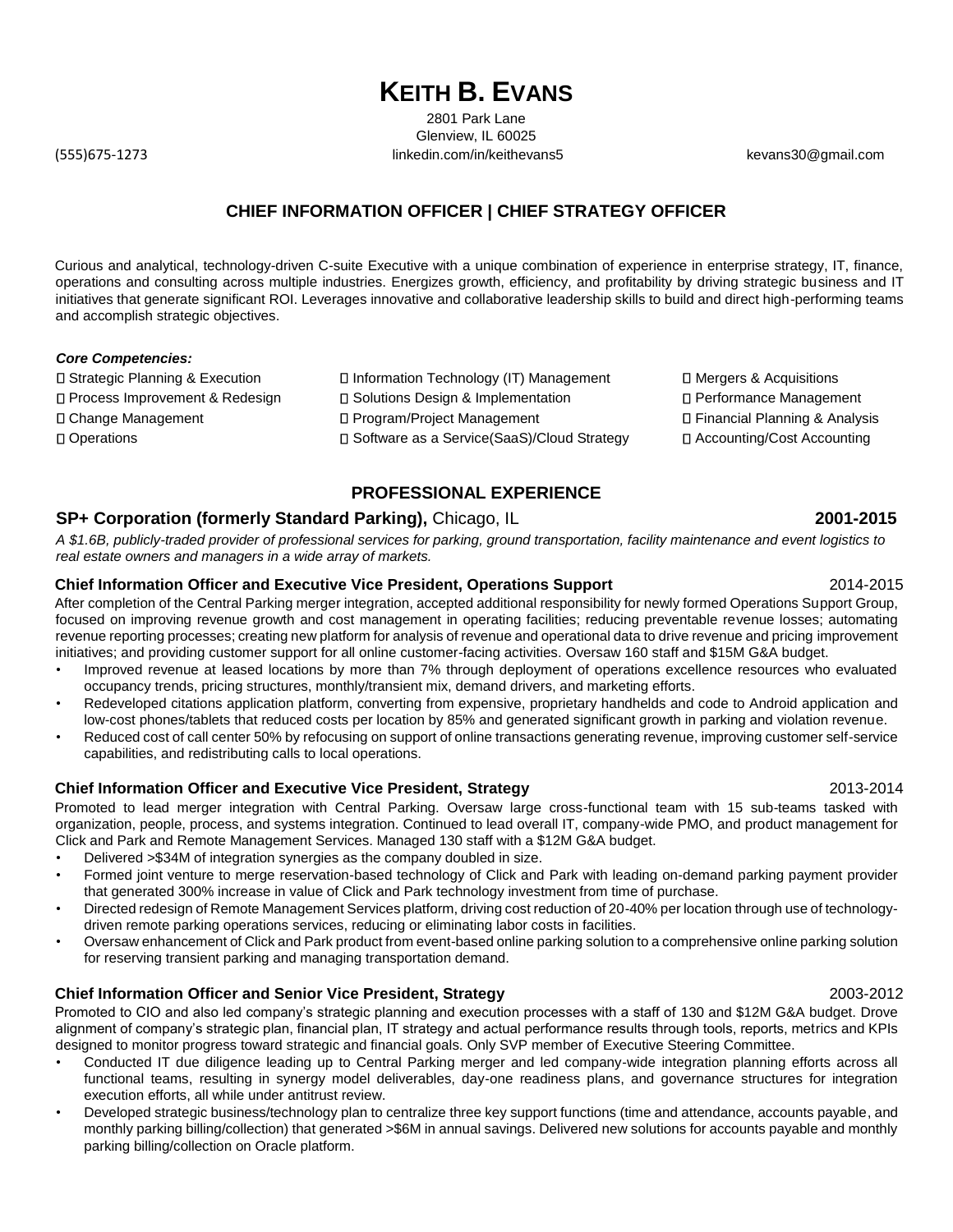# **KEITH B. EVANS**

2801 Park Lane Glenview, IL 60025 (555)675-1273 linkedin.com/in/keithevans5 kevans30@gmail.com

# **CHIEF INFORMATION OFFICER | CHIEF STRATEGY OFFICER**

Curious and analytical, technology-driven C-suite Executive with a unique combination of experience in enterprise strategy, IT, finance, operations and consulting across multiple industries. Energizes growth, efficiency, and profitability by driving strategic business and IT initiatives that generate significant ROI. Leverages innovative and collaborative leadership skills to build and direct high-performing teams and accomplish strategic objectives.

### *Core Competencies:*

□ Strategic Planning & Execution <br>
□ Information Technology (IT) Management D Mergers & Acquisitions □ Process Improvement & Redesign □ Solutions Design & Implementation □ Performance Management Change Management Program/Project Management Financial Planning & Analysis □ Operations Software as a Service(SaaS)/Cloud Strategy Accounting/Cost Accounting

### **PROFESSIONAL EXPERIENCE**

# **SP+ Corporation (formerly Standard Parking),** Chicago, IL **2001-2015**

*A \$1.6B, publicly-traded provider of professional services for parking, ground transportation, facility maintenance and event logistics to real estate owners and managers in a wide array of markets.* 

### **Chief Information Officer and Executive Vice President, Operations Support** 2014-2015

After completion of the Central Parking merger integration, accepted additional responsibility for newly formed Operations Support Group, focused on improving revenue growth and cost management in operating facilities; reducing preventable revenue losses; automating revenue reporting processes; creating new platform for analysis of revenue and operational data to drive revenue and pricing improvement initiatives; and providing customer support for all online customer-facing activities. Oversaw 160 staff and \$15M G&A budget.

- Improved revenue at leased locations by more than 7% through deployment of operations excellence resources who evaluated occupancy trends, pricing structures, monthly/transient mix, demand drivers, and marketing efforts.
- Redeveloped citations application platform, converting from expensive, proprietary handhelds and code to Android application and low-cost phones/tablets that reduced costs per location by 85% and generated significant growth in parking and violation revenue.
- Reduced cost of call center 50% by refocusing on support of online transactions generating revenue, improving customer self-service capabilities, and redistributing calls to local operations.

### **Chief Information Officer and Executive Vice President, Strategy** 2013-2014

Promoted to lead merger integration with Central Parking. Oversaw large cross-functional team with 15 sub-teams tasked with organization, people, process, and systems integration. Continued to lead overall IT, company-wide PMO, and product management for Click and Park and Remote Management Services. Managed 130 staff with a \$12M G&A budget.

- Delivered >\$34M of integration synergies as the company doubled in size.
- Formed joint venture to merge reservation-based technology of Click and Park with leading on-demand parking payment provider that generated 300% increase in value of Click and Park technology investment from time of purchase.
- Directed redesign of Remote Management Services platform, driving cost reduction of 20-40% per location through use of technologydriven remote parking operations services, reducing or eliminating labor costs in facilities.
- Oversaw enhancement of Click and Park product from event-based online parking solution to a comprehensive online parking solution for reserving transient parking and managing transportation demand.

### **Chief Information Officer and Senior Vice President, Strategy** 2003-2012

Promoted to CIO and also led company's strategic planning and execution processes with a staff of 130 and \$12M G&A budget. Drove alignment of company's strategic plan, financial plan, IT strategy and actual performance results through tools, reports, metrics and KPIs designed to monitor progress toward strategic and financial goals. Only SVP member of Executive Steering Committee.

- Conducted IT due diligence leading up to Central Parking merger and led company-wide integration planning efforts across all functional teams, resulting in synergy model deliverables, day-one readiness plans, and governance structures for integration execution efforts, all while under antitrust review.
- Developed strategic business/technology plan to centralize three key support functions (time and attendance, accounts payable, and monthly parking billing/collection) that generated >\$6M in annual savings. Delivered new solutions for accounts payable and monthly parking billing/collection on Oracle platform.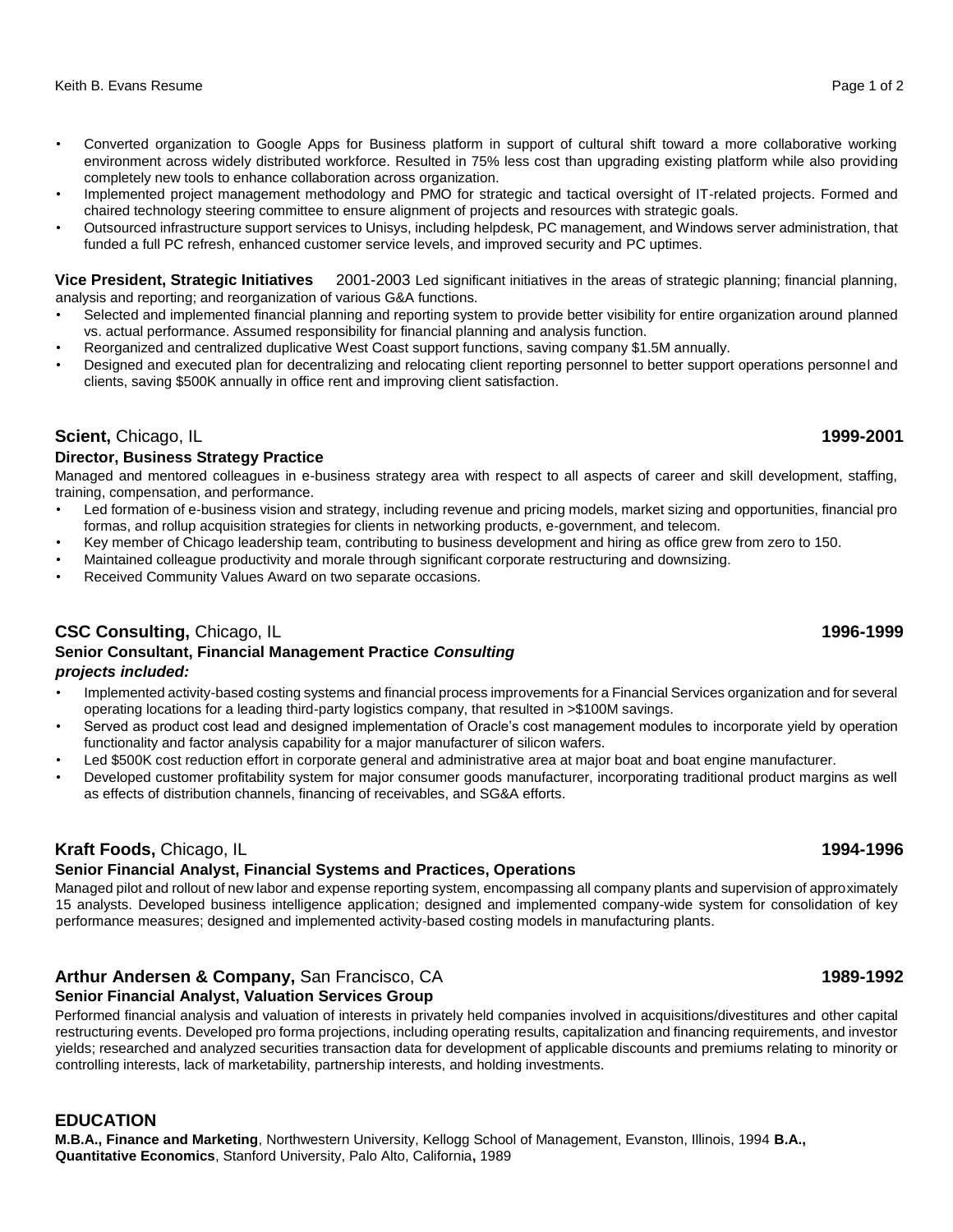- Converted organization to Google Apps for Business platform in support of cultural shift toward a more collaborative working environment across widely distributed workforce. Resulted in 75% less cost than upgrading existing platform while also providing completely new tools to enhance collaboration across organization.
- Implemented project management methodology and PMO for strategic and tactical oversight of IT-related projects. Formed and chaired technology steering committee to ensure alignment of projects and resources with strategic goals.
- Outsourced infrastructure support services to Unisys, including helpdesk, PC management, and Windows server administration, that funded a full PC refresh, enhanced customer service levels, and improved security and PC uptimes.

**Vice President, Strategic Initiatives** 2001-2003 Led significant initiatives in the areas of strategic planning; financial planning, analysis and reporting; and reorganization of various G&A functions.

- Selected and implemented financial planning and reporting system to provide better visibility for entire organization around planned vs. actual performance. Assumed responsibility for financial planning and analysis function.
- Reorganized and centralized duplicative West Coast support functions, saving company \$1.5M annually.
- Designed and executed plan for decentralizing and relocating client reporting personnel to better support operations personnel and clients, saving \$500K annually in office rent and improving client satisfaction.

# **Scient, Chicago, IL** 1999-2001

# **Director, Business Strategy Practice**

Managed and mentored colleagues in e-business strategy area with respect to all aspects of career and skill development, staffing, training, compensation, and performance.

- Led formation of e-business vision and strategy, including revenue and pricing models, market sizing and opportunities, financial pro formas, and rollup acquisition strategies for clients in networking products, e-government, and telecom.
- Key member of Chicago leadership team, contributing to business development and hiring as office grew from zero to 150.
- Maintained colleague productivity and morale through significant corporate restructuring and downsizing.
- Received Community Values Award on two separate occasions.

# **CSC Consulting, Chicago, IL** 1996-1999 **1996-1999**

## **Senior Consultant, Financial Management Practice** *Consulting projects included:*

- Implemented activity-based costing systems and financial process improvements for a Financial Services organization and for several operating locations for a leading third-party logistics company, that resulted in >\$100M savings.
- Served as product cost lead and designed implementation of Oracle's cost management modules to incorporate yield by operation functionality and factor analysis capability for a major manufacturer of silicon wafers.
- Led \$500K cost reduction effort in corporate general and administrative area at major boat and boat engine manufacturer.
- Developed customer profitability system for major consumer goods manufacturer, incorporating traditional product margins as well as effects of distribution channels, financing of receivables, and SG&A efforts.

# **Kraft Foods,** Chicago, IL **1994-1996**

# **Senior Financial Analyst, Financial Systems and Practices, Operations**

Managed pilot and rollout of new labor and expense reporting system, encompassing all company plants and supervision of approximately 15 analysts. Developed business intelligence application; designed and implemented company-wide system for consolidation of key performance measures; designed and implemented activity-based costing models in manufacturing plants.

# **Arthur Andersen & Company, San Francisco, CA** 1989-1992 **1989-1992**

# **Senior Financial Analyst, Valuation Services Group**

Performed financial analysis and valuation of interests in privately held companies involved in acquisitions/divestitures and other capital restructuring events. Developed pro forma projections, including operating results, capitalization and financing requirements, and investor yields; researched and analyzed securities transaction data for development of applicable discounts and premiums relating to minority or controlling interests, lack of marketability, partnership interests, and holding investments.

# **EDUCATION**

**M.B.A., Finance and Marketing**, Northwestern University, Kellogg School of Management, Evanston, Illinois, 1994 **B.A., Quantitative Economics**, Stanford University, Palo Alto, California**,** 1989

# Keith B. Evans Resume Page 1 of 2